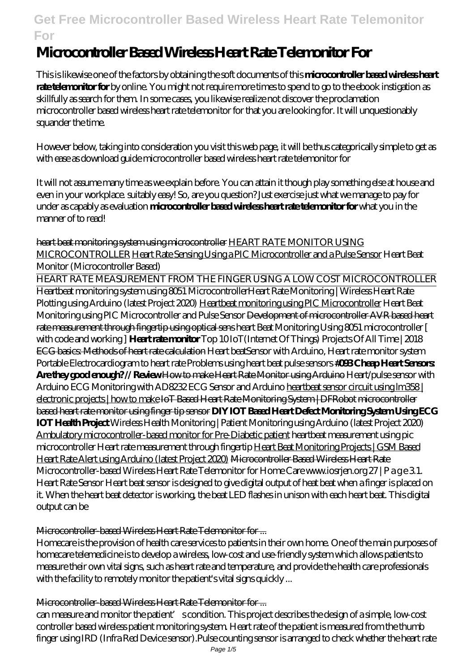# **Microcontroller Based Wireless Heart Rate Telemonitor For**

This is likewise one of the factors by obtaining the soft documents of this **microcontroller based wireless heart rate telemonitor for** by online. You might not require more times to spend to go to the ebook instigation as skillfully as search for them. In some cases, you likewise realize not discover the proclamation microcontroller based wireless heart rate telemonitor for that you are looking for. It will unquestionably squander the time.

However below, taking into consideration you visit this web page, it will be thus categorically simple to get as with ease as download guide microcontroller based wireless heart rate telemonitor for

It will not assume many time as we explain before. You can attain it though play something else at house and even in your workplace. suitably easy! So, are you question? Just exercise just what we manage to pay for under as capably as evaluation **microcontroller based wireless heart rate telemonitor for** what you in the manner of to read!

heart beat monitoring system using microcontroller HEART RATE MONITOR USING MICROCONTROLLER Heart Rate Sensing Using a PIC Microcontroller and a Pulse Sensor Heart Beat Monitor (Microcontroller Based)

HEART RATE MEASUREMENT FROM THE FINGER USING A LOW COST MICROCONTROLLER Heartbeat monitoring system using 8051 Microcontroller*Heart Rate Monitoring | Wireless Heart Rate Plotting using Arduino (latest Project 2020)* Heartbeat monitoring using PIC Microcontroller *Heart Beat Monitoring using PIC Microcontroller and Pulse Sensor* Development of microcontroller AVR based heart rate measurement through fingertip using optical sens *heart Beat Monitoring Using 8051 microcontroller [ with code and working ]* **Heart rate monitor** *Top 10 IoT(Internet Of Things) Projects Of All Time | 2018* ECG basics: Methods of heart rate calculation *Heart beatSensor with Arduino, Heart rate monitor system Portable Electrocardiogram to heart rate Problems using heart beat pulse sensors* **#093 Cheap Heart Sensors: Are they good enough? // Review How to make Heart Rate Monitor using Arduino Heart/pulse sensor with** Arduino ECG Monitoring with AD8232 ECG Sensor and Arduino heartbeat sensor circuit using  $\lfloor m358 \rfloor$ electronic projects | how to make IoT Based Heart Rate Monitoring System | DFRobot microcontroller based heart rate monitor using finger tip sensor **DIY IOT Based Heart Defect Monitoring System Using ECG IOT Health Project** Wireless Health Monitoring | Patient Monitoring using Arduino (latest Project 2020) Ambulatory microcontroller-based monitor for Pre-Diabetic patient *heartbeat measurement using pic microcontroller* Heart rate measurement through fingertip Heart Beat Monitoring Projects | GSM Based Heart Rate Alert using Arduino (latest Project 2020) Microcontroller Based Wireless Heart Rate Microcontroller-based Wireless Heart Rate Telemonitor for Home Care www.iosrjen.org 27 | P a g e 31. Heart Rate Sensor Heart beat sensor is designed to give digital output of heat beat when a finger is placed on it. When the heart beat detector is working, the beat LED flashes in unison with each heart beat. This digital output can be

## Microcontroller-based Wireless Heart Rate Telemonitor for ...

Homecare is the provision of health care services to patients in their own home. One of the main purposes of homecare telemedicine is to develop a wireless, low-cost and use-friendly system which allows patients to measure their own vital signs, such as heart rate and temperature, and provide the health care professionals with the facility to remotely monitor the patient's vital signs quickly ...

#### Microcontroller-based Wireless Heart Rate Telemonitor for ...

can measure and monitor the patient' scondition. This project describes the design of a simple, low-cost controller based wireless patient monitoring system. Heart rate of the patient is measured from the thumb finger using IRD (Infra Red Device sensor).Pulse counting sensor is arranged to check whether the heart rate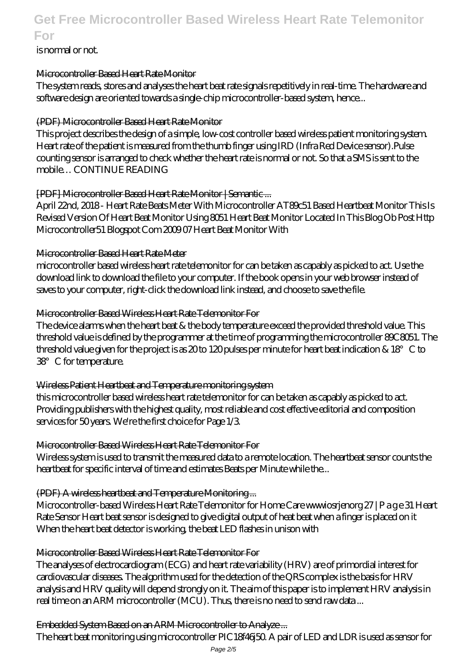## is normal or not.

#### Microcontroller Based Heart Rate Monitor

The system reads, stores and analyses the heart beat rate signals repetitively in real-time. The hardware and software design are oriented towards a single-chip microcontroller-based system, hence...

## (PDF) Microcontroller Based Heart Rate Monitor

This project describes the design of a simple, low-cost controller based wireless patient monitoring system. Heart rate of the patient is measured from the thumb finger using IRD (Infra Red Device sensor).Pulse counting sensor is arranged to check whether the heart rate is normal or not. So that a SMS is sent to the mobile… CONTINUE READING

## [PDF] Microcontroller Based Heart Rate Monitor | Semantic ...

April 22nd, 2018 - Heart Rate Beats Meter With Microcontroller AT89c51 Based Heartbeat Monitor This Is Revised Version Of Heart Beat Monitor Using 8051 Heart Beat Monitor Located In This Blog Ob Post Http Microcontroller51 Blogspot Com 2009 07 Heart Beat Monitor With

#### Microcontroller Based Heart Rate Meter

microcontroller based wireless heart rate telemonitor for can be taken as capably as picked to act. Use the download link to download the file to your computer. If the book opens in your web browser instead of saves to your computer, right-click the download link instead, and choose to save the file.

## Microcontroller Based Wireless Heart Rate Telemonitor For

The device alarms when the heart beat & the body temperature exceed the provided threshold value. This threshold value is defined by the programmer at the time of programming the microcontroller 89C8051. The threshold value given for the project is as 20 to 120 pulses per minute for heart beat indication &  $18^{\circ}$  C to 38°C for temperature.

## Wireless Patient Heartbeat and Temperature monitoring system

this microcontroller based wireless heart rate telemonitor for can be taken as capably as picked to act. Providing publishers with the highest quality, most reliable and cost effective editorial and composition services for 50 years. We're the first choice for Page 1/3.

## Microcontroller Based Wireless Heart Rate Telemonitor For

Wireless system is used to transmit the measured data to a remote location. The heartbeat sensor counts the heartbeat for specific interval of time and estimates Beats per Minute while the...

## (PDF) A wireless heartbeat and Temperature Monitoring ...

Microcontroller-based Wireless Heart Rate Telemonitor for Home Care www.iosrjenorg 27 | P a g e 31 Heart Rate Sensor Heart beat sensor is designed to give digital output of heat beat when a finger is placed on it When the heart beat detector is working, the beat LED flashes in unison with

## Microcontroller Based Wireless Heart Rate Telemonitor For

The analyses of electrocardiogram (ECG) and heart rate variability (HRV) are of primordial interest for cardiovascular diseases. The algorithm used for the detection of the QRS complex is the basis for HRV analysis and HRV quality will depend strongly on it. The aim of this paper is to implement HRV analysis in real time on an ARM microcontroller (MCU). Thus, there is no need to send raw data ...

## Embedded System Based on an ARM Microcontroller to Analyze ...

The heart beat monitoring using microcontroller PIC18f46j50. A pair of LED and LDR is used as sensor for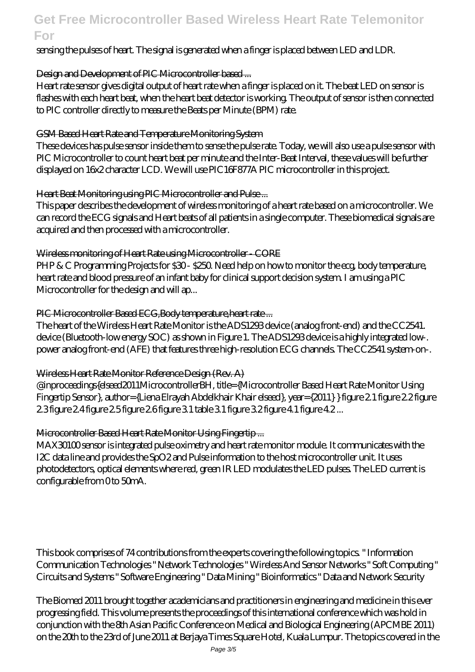#### sensing the pulses of heart. The signal is generated when a finger is placed between LED and LDR.

#### Design and Development of PIC Microcontroller based ...

Heart rate sensor gives digital output of heart rate when a finger is placed on it. The beat LED on sensor is flashes with each heart beat, when the heart beat detector is working. The output of sensor is then connected to PIC controller directly to measure the Beats per Minute (BPM) rate.

#### GSM Based Heart Rate and Temperature Monitoring System

These devices has pulse sensor inside them to sense the pulse rate. Today, we will also use a pulse sensor with PIC Microcontroller to count heart beat per minute and the Inter-Beat Interval, these values will be further displayed on 16x2 character LCD. We will use PIC16F877A PIC microcontroller in this project.

#### Heart Beat Monitoring using PIC Microcontroller and Pulse ...

This paper describes the development of wireless monitoring of a heart rate based on a microcontroller. We can record the ECG signals and Heart beats of all patients in a single computer. These biomedical signals are acquired and then processed with a microcontroller.

#### Wireless monitoring of Heart Rate using Microcontroller - CORE

PHP & C Programming Projects for \$30-\$250. Need help on how to monitor the ecg, body temperature, heart rate and blood pressure of an infant baby for clinical support decision system. I am using a PIC Microcontroller for the design and will ap...

#### PIC Microcontroller Based ECG, Body temperature, heart rate...

The heart of the Wireless Heart Rate Monitor is the ADS1293 device (analog front-end) and the CC2541. device (Bluetooth-low energy SOC) as shown in Figure 1. The ADS1293 device is a highly integrated low-. power analog front-end (AFE) that features three high-resolution ECG channels. The CC2541 system-on-.

#### Wireless Heart Rate Monitor Reference Design (Rev. A)

@inproceedings{elseed2011MicrocontrollerBH, title={Microcontroller Based Heart Rate Monitor Using Fingertip Sensor}, author={Liena Elrayah Abdelkhair Khair elseed}, year={2011} } figure 2.1 figure 2.2 figure 2.3 figure 2.4 figure 2.5 figure 2.6 figure 3.1 table 3.1 figure 3.2 figure 4.1 figure 4.2 ...

## Microcontroller Based Heart Rate Monitor Using Fingertip ...

MAX30100 sensor is integrated pulse oximetry and heart rate monitor module. It communicates with the I2C data line and provides the SpO2 and Pulse information to the host microcontroller unit. It uses photodetectors, optical elements where red, green IR LED modulates the LED pulses. The LED current is configurable from 0 to 50mA.

This book comprises of 74 contributions from the experts covering the following topics. " Information Communication Technologies " Network Technologies " Wireless And Sensor Networks " Soft Computing " Circuits and Systems " Software Engineering " Data Mining " Bioinformatics " Data and Network Security

The Biomed 2011 brought together academicians and practitioners in engineering and medicine in this ever progressing field. This volume presents the proceedings of this international conference which was hold in conjunction with the 8th Asian Pacific Conference on Medical and Biological Engineering (APCMBE 2011) on the 20th to the 23rd of June 2011 at Berjaya Times Square Hotel, Kuala Lumpur. The topics covered in the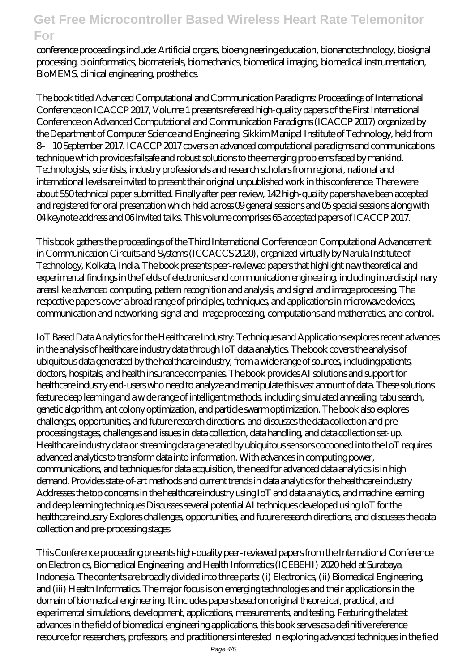conference proceedings include: Artificial organs, bioengineering education, bionanotechnology, biosignal processing, bioinformatics, biomaterials, biomechanics, biomedical imaging, biomedical instrumentation, BioMEMS, clinical engineering, prosthetics.

The book titled Advanced Computational and Communication Paradigms: Proceedings of International Conference on ICACCP 2017, Volume 1 presents refereed high-quality papers of the First International Conference on Advanced Computational and Communication Paradigms (ICACCP 2017) organized by the Department of Computer Science and Engineering, Sikkim Manipal Institute of Technology, held from 8– 10 September 2017. ICACCP 2017 covers an advanced computational paradigms and communications technique which provides failsafe and robust solutions to the emerging problems faced by mankind. Technologists, scientists, industry professionals and research scholars from regional, national and international levels are invited to present their original unpublished work in this conference. There were about 550 technical paper submitted. Finally after peer review, 142 high-quality papers have been accepted and registered for oral presentation which held across 09 general sessions and 05 special sessions along with 04 keynote address and 06 invited talks. This volume comprises 65 accepted papers of ICACCP 2017.

This book gathers the proceedings of the Third International Conference on Computational Advancement in Communication Circuits and Systems (ICCACCS 2020), organized virtually by Narula Institute of Technology, Kolkata, India. The book presents peer-reviewed papers that highlight new theoretical and experimental findings in the fields of electronics and communication engineering, including interdisciplinary areas like advanced computing, pattern recognition and analysis, and signal and image processing. The respective papers cover a broad range of principles, techniques, and applications in microwave devices, communication and networking, signal and image processing, computations and mathematics, and control.

IoT Based Data Analytics for the Healthcare Industry: Techniques and Applications explores recent advances in the analysis of healthcare industry data through IoT data analytics. The book covers the analysis of ubiquitous data generated by the healthcare industry, from a wide range of sources, including patients, doctors, hospitals, and health insurance companies. The book provides AI solutions and support for healthcare industry end-users who need to analyze and manipulate this vast amount of data. These solutions feature deep learning and a wide range of intelligent methods, including simulated annealing, tabu search, genetic algorithm, ant colony optimization, and particle swarm optimization. The book also explores challenges, opportunities, and future research directions, and discusses the data collection and preprocessing stages, challenges and issues in data collection, data handling, and data collection set-up. Healthcare industry data or streaming data generated by ubiquitous sensors cocooned into the IoT requires advanced analytics to transform data into information. With advances in computing power, communications, and techniques for data acquisition, the need for advanced data analytics is in high demand. Provides state-of-art methods and current trends in data analytics for the healthcare industry Addresses the top concerns in the healthcare industry using IoT and data analytics, and machine learning and deep learning techniques Discusses several potential AI techniques developed using IoT for the healthcare industry Explores challenges, opportunities, and future research directions, and discusses the data collection and pre-processing stages

This Conference proceeding presents high-quality peer-reviewed papers from the International Conference on Electronics, Biomedical Engineering, and Health Informatics (ICEBEHI) 2020 held at Surabaya, Indonesia. The contents are broadly divided into three parts: (i) Electronics, (ii) Biomedical Engineering, and (iii) Health Informatics. The major focus is on emerging technologies and their applications in the domain of biomedical engineering. It includes papers based on original theoretical, practical, and experimental simulations, development, applications, measurements, and testing. Featuring the latest advances in the field of biomedical engineering applications, this book serves as a definitive reference resource for researchers, professors, and practitioners interested in exploring advanced techniques in the field